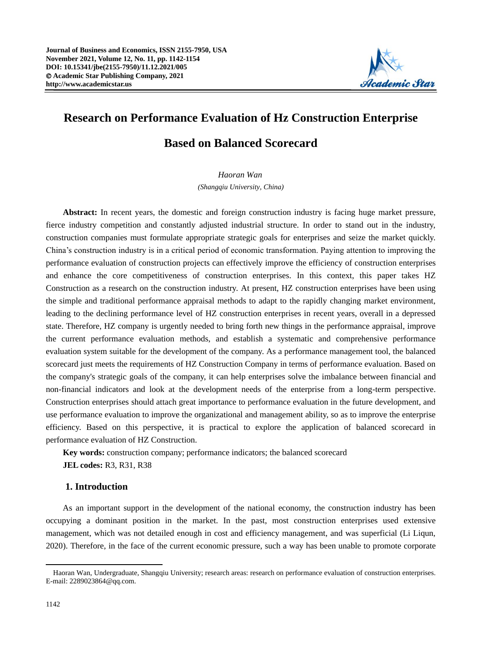

# **Research on Performance Evaluation of Hz Construction Enterprise Based on Balanced Scorecard**

*Haoran Wan (Shangqiu University, China)*

**Abstract:** In recent years, the domestic and foreign construction industry is facing huge market pressure, fierce industry competition and constantly adjusted industrial structure. In order to stand out in the industry, construction companies must formulate appropriate strategic goals for enterprises and seize the market quickly. China's construction industry is in a critical period of economic transformation. Paying attention to improving the performance evaluation of construction projects can effectively improve the efficiency of construction enterprises and enhance the core competitiveness of construction enterprises. In this context, this paper takes HZ Construction as a research on the construction industry. At present, HZ construction enterprises have been using the simple and traditional performance appraisal methods to adapt to the rapidly changing market environment, leading to the declining performance level of HZ construction enterprises in recent years, overall in a depressed state. Therefore, HZ company is urgently needed to bring forth new things in the performance appraisal, improve the current performance evaluation methods, and establish a systematic and comprehensive performance evaluation system suitable for the development of the company. As a performance management tool, the balanced scorecard just meets the requirements of HZ Construction Company in terms of performance evaluation. Based on the company's strategic goals of the company, it can help enterprises solve the imbalance between financial and non-financial indicators and look at the development needs of the enterprise from a long-term perspective. Construction enterprises should attach great importance to performance evaluation in the future development, and use performance evaluation to improve the organizational and management ability, so as to improve the enterprise efficiency. Based on this perspective, it is practical to explore the application of balanced scorecard in performance evaluation of HZ Construction.

**Key words:** construction company; performance indicators; the balanced scorecard **JEL codes:** R3, R31, R38

# **1. Introduction**

As an important support in the development of the national economy, the construction industry has been occupying a dominant position in the market. In the past, most construction enterprises used extensive management, which was not detailed enough in cost and efficiency management, and was superficial (Li Liqun, 2020). Therefore, in the face of the current economic pressure, such a way has been unable to promote corporate

Haoran Wan, Undergraduate, Shangqiu University; research areas: research on performance evaluation of construction enterprises. E-mail: 2289023864@qq.com.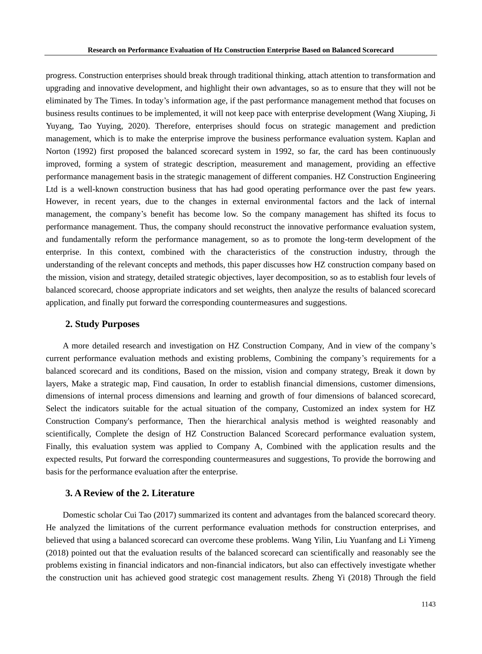progress. Construction enterprises should break through traditional thinking, attach attention to transformation and upgrading and innovative development, and highlight their own advantages, so as to ensure that they will not be eliminated by The Times. In today's information age, if the past performance management method that focuses on business results continues to be implemented, it will not keep pace with enterprise development (Wang Xiuping, Ji Yuyang, Tao Yuying, 2020). Therefore, enterprises should focus on strategic management and prediction management, which is to make the enterprise improve the business performance evaluation system. Kaplan and Norton (1992) first proposed the balanced scorecard system in 1992, so far, the card has been continuously improved, forming a system of strategic description, measurement and management, providing an effective performance management basis in the strategic management of different companies. HZ Construction Engineering Ltd is a well-known construction business that has had good operating performance over the past few years. However, in recent years, due to the changes in external environmental factors and the lack of internal management, the company's benefit has become low. So the company management has shifted its focus to performance management. Thus, the company should reconstruct the innovative performance evaluation system, and fundamentally reform the performance management, so as to promote the long-term development of the enterprise. In this context, combined with the characteristics of the construction industry, through the understanding of the relevant concepts and methods, this paper discusses how HZ construction company based on the mission, vision and strategy, detailed strategic objectives, layer decomposition, so as to establish four levels of balanced scorecard, choose appropriate indicators and set weights, then analyze the results of balanced scorecard application, and finally put forward the corresponding countermeasures and suggestions.

### **2. Study Purposes**

A more detailed research and investigation on HZ Construction Company, And in view of the company's current performance evaluation methods and existing problems, Combining the company's requirements for a balanced scorecard and its conditions, Based on the mission, vision and company strategy, Break it down by layers, Make a strategic map, Find causation, In order to establish financial dimensions, customer dimensions, dimensions of internal process dimensions and learning and growth of four dimensions of balanced scorecard, Select the indicators suitable for the actual situation of the company, Customized an index system for HZ Construction Company's performance, Then the hierarchical analysis method is weighted reasonably and scientifically, Complete the design of HZ Construction Balanced Scorecard performance evaluation system, Finally, this evaluation system was applied to Company A, Combined with the application results and the expected results, Put forward the corresponding countermeasures and suggestions, To provide the borrowing and basis for the performance evaluation after the enterprise.

# **3. A Review of the 2. Literature**

Domestic scholar Cui Tao (2017) summarized its content and advantages from the balanced scorecard theory. He analyzed the limitations of the current performance evaluation methods for construction enterprises, and believed that using a balanced scorecard can overcome these problems. Wang Yilin, Liu Yuanfang and Li Yimeng (2018) pointed out that the evaluation results of the balanced scorecard can scientifically and reasonably see the problems existing in financial indicators and non-financial indicators, but also can effectively investigate whether the construction unit has achieved good strategic cost management results. Zheng Yi (2018) Through the field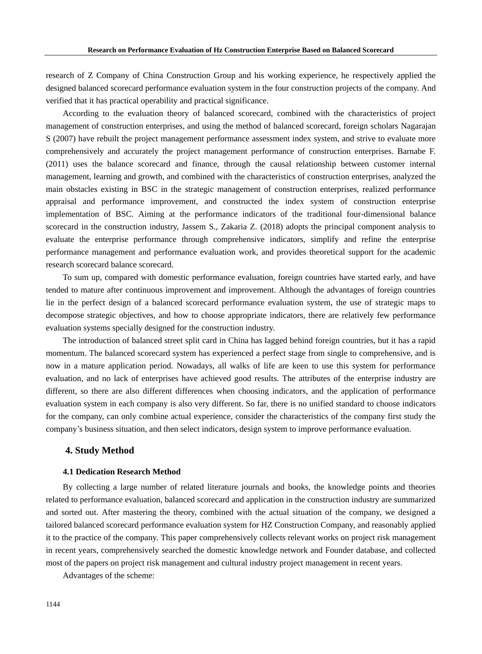research of Z Company of China Construction Group and his working experience, he respectively applied the designed balanced scorecard performance evaluation system in the four construction projects of the company. And verified that it has practical operability and practical significance.

According to the evaluation theory of balanced scorecard, combined with the characteristics of project management of construction enterprises, and using the method of balanced scorecard, foreign scholars Nagarajan S (2007) have rebuilt the project management performance assessment index system, and strive to evaluate more comprehensively and accurately the project management performance of construction enterprises. Barnabe F. (2011) uses the balance scorecard and finance, through the causal relationship between customer internal management, learning and growth, and combined with the characteristics of construction enterprises, analyzed the main obstacles existing in BSC in the strategic management of construction enterprises, realized performance appraisal and performance improvement, and constructed the index system of construction enterprise implementation of BSC. Aiming at the performance indicators of the traditional four-dimensional balance scorecard in the construction industry, Jassem S., Zakaria Z. (2018) adopts the principal component analysis to evaluate the enterprise performance through comprehensive indicators, simplify and refine the enterprise performance management and performance evaluation work, and provides theoretical support for the academic research scorecard balance scorecard.

To sum up, compared with domestic performance evaluation, foreign countries have started early, and have tended to mature after continuous improvement and improvement. Although the advantages of foreign countries lie in the perfect design of a balanced scorecard performance evaluation system, the use of strategic maps to decompose strategic objectives, and how to choose appropriate indicators, there are relatively few performance evaluation systems specially designed for the construction industry.

The introduction of balanced street split card in China has lagged behind foreign countries, but it has a rapid momentum. The balanced scorecard system has experienced a perfect stage from single to comprehensive, and is now in a mature application period. Nowadays, all walks of life are keen to use this system for performance evaluation, and no lack of enterprises have achieved good results. The attributes of the enterprise industry are different, so there are also different differences when choosing indicators, and the application of performance evaluation system in each company is also very different. So far, there is no unified standard to choose indicators for the company, can only combine actual experience, consider the characteristics of the company first study the company's business situation, and then select indicators, design system to improve performance evaluation.

# **4. Study Method**

### **4.1 Dedication Research Method**

By collecting a large number of related literature journals and books, the knowledge points and theories related to performance evaluation, balanced scorecard and application in the construction industry are summarized and sorted out. After mastering the theory, combined with the actual situation of the company, we designed a tailored balanced scorecard performance evaluation system for HZ Construction Company, and reasonably applied it to the practice of the company. This paper comprehensively collects relevant works on project risk management in recent years, comprehensively searched the domestic knowledge network and Founder database, and collected most of the papers on project risk management and cultural industry project management in recent years.

Advantages of the scheme: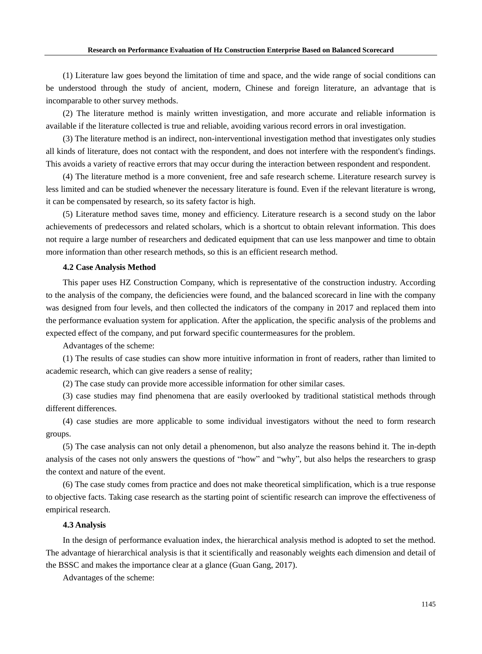(1) Literature law goes beyond the limitation of time and space, and the wide range of social conditions can be understood through the study of ancient, modern, Chinese and foreign literature, an advantage that is incomparable to other survey methods.

(2) The literature method is mainly written investigation, and more accurate and reliable information is available if the literature collected is true and reliable, avoiding various record errors in oral investigation.

(3) The literature method is an indirect, non-interventional investigation method that investigates only studies all kinds of literature, does not contact with the respondent, and does not interfere with the respondent's findings. This avoids a variety of reactive errors that may occur during the interaction between respondent and respondent.

(4) The literature method is a more convenient, free and safe research scheme. Literature research survey is less limited and can be studied whenever the necessary literature is found. Even if the relevant literature is wrong, it can be compensated by research, so its safety factor is high.

(5) Literature method saves time, money and efficiency. Literature research is a second study on the labor achievements of predecessors and related scholars, which is a shortcut to obtain relevant information. This does not require a large number of researchers and dedicated equipment that can use less manpower and time to obtain more information than other research methods, so this is an efficient research method.

#### **4.2 Case Analysis Method**

This paper uses HZ Construction Company, which is representative of the construction industry. According to the analysis of the company, the deficiencies were found, and the balanced scorecard in line with the company was designed from four levels, and then collected the indicators of the company in 2017 and replaced them into the performance evaluation system for application. After the application, the specific analysis of the problems and expected effect of the company, and put forward specific countermeasures for the problem.

Advantages of the scheme:

(1) The results of case studies can show more intuitive information in front of readers, rather than limited to academic research, which can give readers a sense of reality;

(2) The case study can provide more accessible information for other similar cases.

(3) case studies may find phenomena that are easily overlooked by traditional statistical methods through different differences.

(4) case studies are more applicable to some individual investigators without the need to form research groups.

(5) The case analysis can not only detail a phenomenon, but also analyze the reasons behind it. The in-depth analysis of the cases not only answers the questions of "how" and "why", but also helps the researchers to grasp the context and nature of the event.

(6) The case study comes from practice and does not make theoretical simplification, which is a true response to objective facts. Taking case research as the starting point of scientific research can improve the effectiveness of empirical research.

#### **4.3 Analysis**

In the design of performance evaluation index, the hierarchical analysis method is adopted to set the method. The advantage of hierarchical analysis is that it scientifically and reasonably weights each dimension and detail of the BSSC and makes the importance clear at a glance (Guan Gang, 2017).

Advantages of the scheme: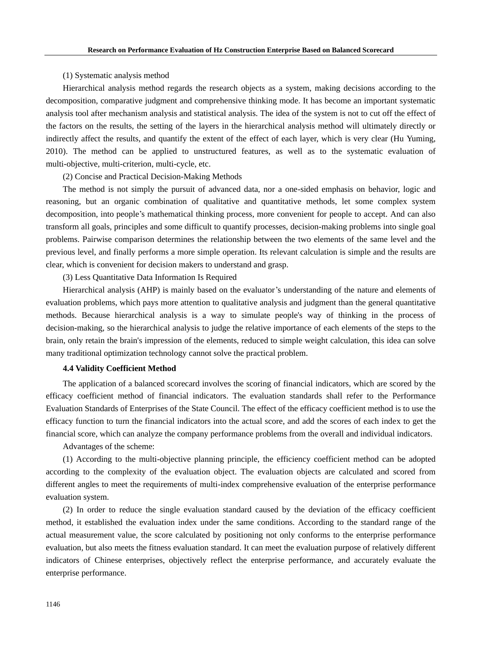#### (1) Systematic analysis method

Hierarchical analysis method regards the research objects as a system, making decisions according to the decomposition, comparative judgment and comprehensive thinking mode. It has become an important systematic analysis tool after mechanism analysis and statistical analysis. The idea of the system is not to cut off the effect of the factors on the results, the setting of the layers in the hierarchical analysis method will ultimately directly or indirectly affect the results, and quantify the extent of the effect of each layer, which is very clear (Hu Yuming, 2010). The method can be applied to unstructured features, as well as to the systematic evaluation of multi-objective, multi-criterion, multi-cycle, etc.

(2) Concise and Practical Decision-Making Methods

The method is not simply the pursuit of advanced data, nor a one-sided emphasis on behavior, logic and reasoning, but an organic combination of qualitative and quantitative methods, let some complex system decomposition, into people's mathematical thinking process, more convenient for people to accept. And can also transform all goals, principles and some difficult to quantify processes, decision-making problems into single goal problems. Pairwise comparison determines the relationship between the two elements of the same level and the previous level, and finally performs a more simple operation. Its relevant calculation is simple and the results are clear, which is convenient for decision makers to understand and grasp.

(3) Less Quantitative Data Information Is Required

Hierarchical analysis (AHP) is mainly based on the evaluator's understanding of the nature and elements of evaluation problems, which pays more attention to qualitative analysis and judgment than the general quantitative methods. Because hierarchical analysis is a way to simulate people's way of thinking in the process of decision-making, so the hierarchical analysis to judge the relative importance of each elements of the steps to the brain, only retain the brain's impression of the elements, reduced to simple weight calculation, this idea can solve many traditional optimization technology cannot solve the practical problem.

# **4.4 Validity Coefficient Method**

The application of a balanced scorecard involves the scoring of financial indicators, which are scored by the efficacy coefficient method of financial indicators. The evaluation standards shall refer to the Performance Evaluation Standards of Enterprises of the State Council. The effect of the efficacy coefficient method is to use the efficacy function to turn the financial indicators into the actual score, and add the scores of each index to get the financial score, which can analyze the company performance problems from the overall and individual indicators.

Advantages of the scheme:

(1) According to the multi-objective planning principle, the efficiency coefficient method can be adopted according to the complexity of the evaluation object. The evaluation objects are calculated and scored from different angles to meet the requirements of multi-index comprehensive evaluation of the enterprise performance evaluation system.

(2) In order to reduce the single evaluation standard caused by the deviation of the efficacy coefficient method, it established the evaluation index under the same conditions. According to the standard range of the actual measurement value, the score calculated by positioning not only conforms to the enterprise performance evaluation, but also meets the fitness evaluation standard. It can meet the evaluation purpose of relatively different indicators of Chinese enterprises, objectively reflect the enterprise performance, and accurately evaluate the enterprise performance.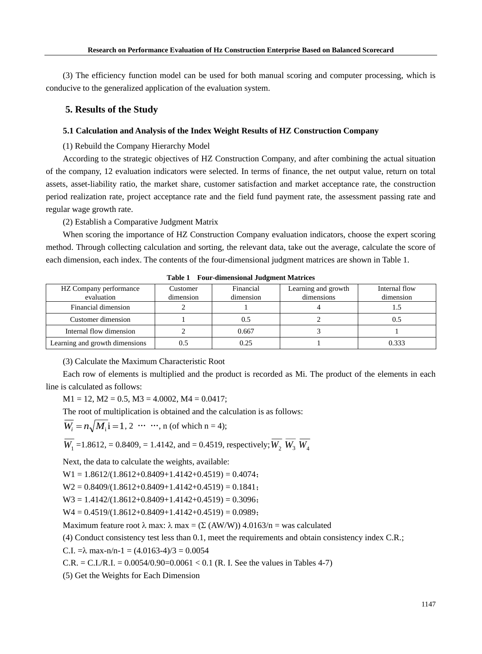(3) The efficiency function model can be used for both manual scoring and computer processing, which is conducive to the generalized application of the evaluation system.

# **5. Results of the Study**

# **5.1 Calculation and Analysis of the Index Weight Results of HZ Construction Company**

(1) Rebuild the Company Hierarchy Model

According to the strategic objectives of HZ Construction Company, and after combining the actual situation of the company, 12 evaluation indicators were selected. In terms of finance, the net output value, return on total assets, asset-liability ratio, the market share, customer satisfaction and market acceptance rate, the construction period realization rate, project acceptance rate and the field fund payment rate, the assessment passing rate and regular wage growth rate.

(2) Establish a Comparative Judgment Matrix

When scoring the importance of HZ Construction Company evaluation indicators, choose the expert scoring method. Through collecting calculation and sorting, the relevant data, take out the average, calculate the score of each dimension, each index. The contents of the four-dimensional judgment matrices are shown in Table 1.

| HZ Company performance<br>evaluation | Customer<br>dimension | Financial<br>dimension | Learning and growth<br>dimensions | Internal flow<br>dimension |  |  |  |
|--------------------------------------|-----------------------|------------------------|-----------------------------------|----------------------------|--|--|--|
| Financial dimension                  |                       |                        |                                   |                            |  |  |  |
| Customer dimension                   |                       | 0.5                    |                                   | U.S                        |  |  |  |
| Internal flow dimension              |                       | 0.667                  |                                   |                            |  |  |  |
| Learning and growth dimensions       | 0.5                   | 0.25                   |                                   | 0.333                      |  |  |  |

**Table 1 Four-dimensional Judgment Matrices**

(3) Calculate the Maximum Characteristic Root

Each row of elements is multiplied and the product is recorded as Mi. The product of the elements in each line is calculated as follows:

 $M1 = 12$ ,  $M2 = 0.5$ ,  $M3 = 4.0002$ ,  $M4 = 0.0417$ ;

The root of multiplication is obtained and the calculation is as follows:

 $W_i = n \sqrt{M_i} i = 1, 2 \cdots$ ; n (of which n = 4);

 $W_1$  =1.8612, = 0.8409, = 1.4142, and = 0.4519, respectively;  $W_2$   $W_3$   $W_4$ 

Next, the data to calculate the weights, available:

 $W1 = 1.8612/(1.8612+0.8409+1.4142+0.4519) = 0.4074;$ 

 $W2 = 0.8409/(1.8612+0.8409+1.4142+0.4519) = 0.1841;$ 

 $W3 = 1.4142/(1.8612+0.8409+1.4142+0.4519) = 0.3096;$ 

$$
W4 = 0.4519/(1.8612+0.8409+1.4142+0.4519) = 0.0989;
$$

Maximum feature root  $\lambda$  max:  $\lambda$  max = ( $\Sigma$  (AW/W)) 4.0163/n = was calculated

(4) Conduct consistency test less than 0.1, meet the requirements and obtain consistency index C.R.;

C.I.  $=\lambda$  max-n/n-1 = (4.0163-4)/3 = 0.0054

C.R. = C.I./R.I. =  $0.0054/0.90=0.0061 < 0.1$  (R. I. See the values in Tables 4-7)

(5) Get the Weights for Each Dimension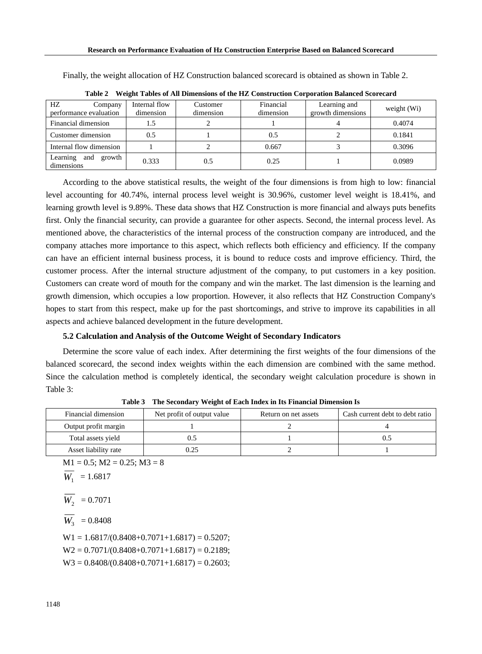| HZ<br>Company<br>performance evaluation | Internal flow<br>dimension | Customer<br>dimension | Financial<br>dimension | Learning and<br>growth dimensions | weight $(Wi)$ |
|-----------------------------------------|----------------------------|-----------------------|------------------------|-----------------------------------|---------------|
| Financial dimension                     | 1.5                        |                       |                        |                                   | 0.4074        |
| Customer dimension                      | 0.5                        |                       | 0.5                    |                                   | 0.1841        |
| Internal flow dimension                 |                            |                       | 0.667                  |                                   | 0.3096        |
| Learning<br>growth<br>and<br>dimensions | 0.333                      | 0.5                   | 0.25                   |                                   | 0.0989        |

Finally, the weight allocation of HZ Construction balanced scorecard is obtained as shown in Table 2.

According to the above statistical results, the weight of the four dimensions is from high to low: financial level accounting for 40.74%, internal process level weight is 30.96%, customer level weight is 18.41%, and learning growth level is 9.89%. These data shows that HZ Construction is more financial and always puts benefits first. Only the financial security, can provide a guarantee for other aspects. Second, the internal process level. As mentioned above, the characteristics of the internal process of the construction company are introduced, and the company attaches more importance to this aspect, which reflects both efficiency and efficiency. If the company can have an efficient internal business process, it is bound to reduce costs and improve efficiency. Third, the customer process. After the internal structure adjustment of the company, to put customers in a key position. Customers can create word of mouth for the company and win the market. The last dimension is the learning and growth dimension, which occupies a low proportion. However, it also reflects that HZ Construction Company's hopes to start from this respect, make up for the past shortcomings, and strive to improve its capabilities in all aspects and achieve balanced development in the future development.

|  |  |  |  |  |  | Table 2 Weight Tables of All Dimensions of the HZ Construction Corporation Balanced Scorecard |
|--|--|--|--|--|--|-----------------------------------------------------------------------------------------------|
|--|--|--|--|--|--|-----------------------------------------------------------------------------------------------|

#### **5.2 Calculation and Analysis of the Outcome Weight of Secondary Indicators**

Determine the score value of each index. After determining the first weights of the four dimensions of the balanced scorecard, the second index weights within the each dimension are combined with the same method. Since the calculation method is completely identical, the secondary weight calculation procedure is shown in Table 3:

| Financial dimension  | Net profit of output value | Return on net assets | Cash current debt to debt ratio |
|----------------------|----------------------------|----------------------|---------------------------------|
| Output profit margin |                            |                      |                                 |
| Total assets yield   |                            |                      |                                 |
| Asset liability rate | 0.25                       |                      |                                 |

**Table 3 The Secondary Weight of Each Index in Its Financial Dimension Is**

 $M1 = 0.5$ ;  $M2 = 0.25$ ;  $M3 = 8$  $W_1$  = 1.6817  $W_2$  = 0.7071  $W_3$  = 0.8408  $W1 = 1.6817/(0.8408 + 0.7071 + 1.6817) = 0.5207;$  $W2 = 0.7071/(0.8408 + 0.7071 + 1.6817) = 0.2189$ ;  $W3 = 0.8408/(0.8408 + 0.7071 + 1.6817) = 0.2603;$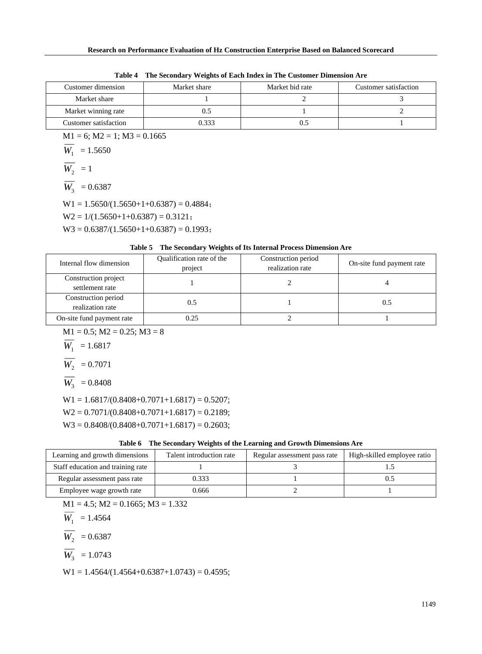| Twee . The presentation and the most movement of the constanting participation into |              |                 |                       |  |  |  |  |
|-------------------------------------------------------------------------------------|--------------|-----------------|-----------------------|--|--|--|--|
| Customer dimension                                                                  | Market share | Market bid rate | Customer satisfaction |  |  |  |  |
| Market share                                                                        |              |                 |                       |  |  |  |  |
| Market winning rate                                                                 |              |                 |                       |  |  |  |  |
| Customer satisfaction                                                               | 0.333        |                 |                       |  |  |  |  |

**Table 4 The Secondary Weights of Each Index in The Customer Dimension Are**

 $M1 = 6$ ;  $M2 = 1$ ;  $M3 = 0.1665$ 

$$
\overline{W_1} = 1.5650
$$

$$
\overline{W_2} = 1
$$

$$
\overline{W_3} = 0.6387
$$

 $W1 = 1.5650/(1.5650+1+0.6387) = 0.4884;$ 

 $W2 = 1/(1.5650+1+0.6387) = 0.3121$ ;

 $W3 = 0.6387/(1.5650+1+0.6387) = 0.1993;$ 

# **Table 5 The Secondary Weights of Its Internal Process Dimension Are**

| Internal flow dimension                 | Qualification rate of the<br>project | Construction period<br>realization rate | On-site fund payment rate |
|-----------------------------------------|--------------------------------------|-----------------------------------------|---------------------------|
| Construction project<br>settlement rate |                                      |                                         |                           |
| Construction period<br>realization rate | 0.5                                  |                                         | 0.5                       |
| On-site fund payment rate               | 0.25                                 |                                         |                           |

 $M1 = 0.5$ ;  $M2 = 0.25$ ;  $M3 = 8$ 

$$
W_1 = 1.6817
$$

$$
\overline{W_2} = 0.7071
$$

$$
\overline{W_3} = 0.8408
$$

 $W1 = 1.6817/(0.8408 + 0.7071 + 1.6817) = 0.5207;$ 

 $W2 = 0.7071/(0.8408 + 0.7071 + 1.6817) = 0.2189;$ 

 $W3 = 0.8408/(0.8408+0.7071+1.6817) = 0.2603;$ 

| Table 6 The Secondary Weights of the Learning and Growth Dimensions Are |  |  |
|-------------------------------------------------------------------------|--|--|
|                                                                         |  |  |

| Learning and growth dimensions    | Talent introduction rate | Regular assessment pass rate | High-skilled employee ratio |
|-----------------------------------|--------------------------|------------------------------|-----------------------------|
| Staff education and training rate |                          |                              |                             |
| Regular assessment pass rate      | 0.333                    |                              |                             |
| Employee wage growth rate         | ).666                    |                              |                             |

 $M1 = 4.5$ ;  $M2 = 0.1665$ ;  $M3 = 1.332$ 

$$
W_1 = 1.4564
$$

 $W_2$  = 0.6387

$$
\overline{W_3} = 1.0743
$$

 $W1 = 1.4564/(1.4564+0.6387+1.0743) = 0.4595;$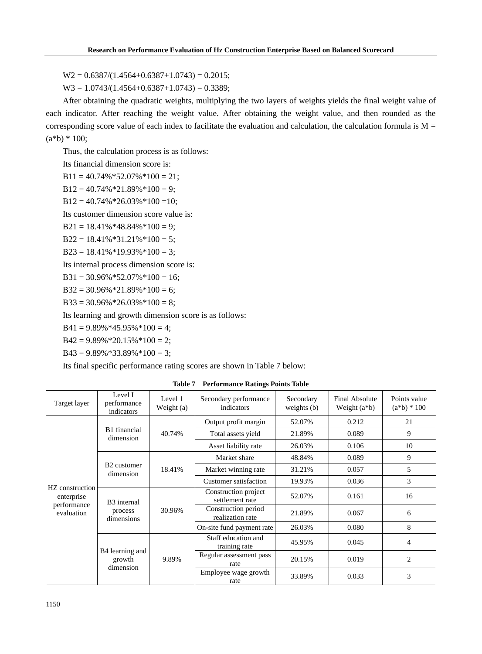$W2 = 0.6387/(1.4564+0.6387+1.0743) = 0.2015;$ 

 $W3 = 1.0743/(1.4564+0.6387+1.0743) = 0.3389;$ 

After obtaining the quadratic weights, multiplying the two layers of weights yields the final weight value of each indicator. After reaching the weight value. After obtaining the weight value, and then rounded as the corresponding score value of each index to facilitate the evaluation and calculation, the calculation formula is  $M =$  $(a * b) * 100;$ 

Thus, the calculation process is as follows:

Its financial dimension score is:

 $B11 = 40.74\% * 52.07\% * 100 = 21$ ;

 $B12 = 40.74\% * 21.89\% * 100 = 9;$ 

 $B12 = 40.74\% * 26.03\% * 100 = 10;$ 

Its customer dimension score value is:

 $B21 = 18.41\% * 48.84\% * 100 = 9;$ 

 $B22 = 18.41\% * 31.21\% * 100 = 5$ ;

 $B23 = 18.41\% * 19.93\% * 100 = 3;$ 

Its internal process dimension score is:

 $B31 = 30.96\% * 52.07\% * 100 = 16;$ 

 $B32 = 30.96\% * 21.89\% * 100 = 6;$ 

 $B33 = 30.96\% * 26.03\% * 100 = 8$ ;

Its learning and growth dimension score is as follows:

 $B41 = 9.89\% * 45.95\% * 100 = 4$ ;

 $B42 = 9.89\% * 20.15\% * 100 = 2$ ;

 $B43 = 9.89\% * 33.89\% * 100 = 3$ ;

Its final specific performance rating scores are shown in Table 7 below:

**Table 7 Performance Ratings Points Table**

| Target layer                  | Level I<br>performance<br>indicators             | Level 1<br>Weight (a) | Secondary performance<br>indicators     | Secondary<br>weights $(b)$ | Final Absolute<br>Weight $(a * b)$ | Points value<br>$(a * b) * 100$ |
|-------------------------------|--------------------------------------------------|-----------------------|-----------------------------------------|----------------------------|------------------------------------|---------------------------------|
|                               |                                                  |                       | Output profit margin                    | 52.07%                     | 0.212                              | 21                              |
|                               | B1 financial<br>dimension                        | 40.74%                | Total assets yield                      | 21.89%                     | 0.089                              | 9                               |
|                               |                                                  |                       | Asset liability rate                    | 26.03%                     | 0.106                              | 10                              |
|                               |                                                  |                       | Market share                            | 48.84%                     | 0.089                              | 9                               |
| HZ construction<br>enterprise | B <sub>2</sub> customer<br>dimension             | 18.41%                | Market winning rate                     | 31.21%                     | 0.057                              | 5                               |
|                               |                                                  |                       | Customer satisfaction                   | 19.93%                     | 0.036                              | 3                               |
|                               | B <sub>3</sub> internal<br>process<br>dimensions | 30.96%                | Construction project<br>settlement rate | 52.07%                     | 0.161                              | 16                              |
| performance<br>evaluation     |                                                  |                       | Construction period<br>realization rate | 21.89%                     | 0.067                              | 6                               |
|                               |                                                  |                       | On-site fund payment rate               | 26.03%                     | 0.080                              | 8                               |
|                               |                                                  | 9.89%                 | Staff education and<br>training rate    | 45.95%                     | 0.045                              | $\overline{4}$                  |
|                               | B4 learning and<br>growth                        |                       | Regular assessment pass<br>rate         | 20.15%                     | 0.019                              | 2                               |
|                               | dimension                                        |                       | Employee wage growth<br>rate            | 33.89%                     | 0.033                              | 3                               |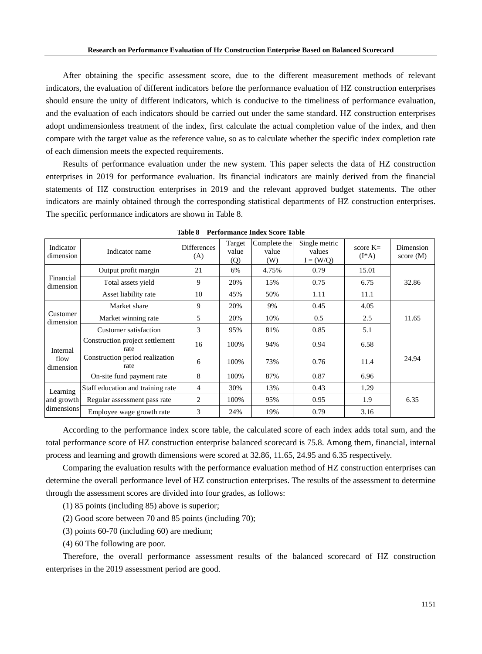After obtaining the specific assessment score, due to the different measurement methods of relevant indicators, the evaluation of different indicators before the performance evaluation of HZ construction enterprises should ensure the unity of different indicators, which is conducive to the timeliness of performance evaluation, and the evaluation of each indicators should be carried out under the same standard. HZ construction enterprises adopt undimensionless treatment of the index, first calculate the actual completion value of the index, and then compare with the target value as the reference value, so as to calculate whether the specific index completion rate of each dimension meets the expected requirements.

Results of performance evaluation under the new system. This paper selects the data of HZ construction enterprises in 2019 for performance evaluation. Its financial indicators are mainly derived from the financial statements of HZ construction enterprises in 2019 and the relevant approved budget statements. The other indicators are mainly obtained through the corresponding statistical departments of HZ construction enterprises. The specific performance indicators are shown in Table 8.

| Indicator<br>dimension        | Indicator name                          | <b>Differences</b><br>(A) | Target<br>value<br>(Q) | Complete the<br>value<br>(W) | Single metric<br>values<br>$I = (W/Q)$ | score $K=$<br>$(I^*A)$ | Dimension<br>score $(M)$ |
|-------------------------------|-----------------------------------------|---------------------------|------------------------|------------------------------|----------------------------------------|------------------------|--------------------------|
|                               | Output profit margin                    | 21                        | 6%                     | 4.75%                        | 0.79                                   | 15.01                  |                          |
| Financial<br>dimension        | Total assets yield                      | 9                         | 20%                    | 15%                          | 0.75                                   | 6.75                   | 32.86                    |
|                               | Asset liability rate                    | 10                        | 45%                    | 50%                          | 1.11                                   | 11.1                   |                          |
|                               | Market share                            | 9                         | 20%                    | 9%                           | 0.45                                   | 4.05                   |                          |
| Customer<br>dimension         | Market winning rate                     | 5                         | 20%                    | 10%                          | 0.5                                    | 2.5                    | 11.65                    |
|                               | <b>Customer satisfaction</b>            | 3                         | 95%                    | 81%                          | 0.85                                   | 5.1                    |                          |
| Internal<br>flow<br>dimension | Construction project settlement<br>rate | 16                        | 100%                   | 94%                          | 0.94                                   | 6.58                   |                          |
|                               | Construction period realization<br>rate | 6                         | 100%                   | 73%                          | 0.76                                   | 11.4                   | 24.94                    |
|                               | On-site fund payment rate               | 8                         | 100%                   | 87%                          | 0.87                                   | 6.96                   |                          |
| Learning                      | Staff education and training rate       | $\overline{4}$            | 30%                    | 13%                          | 0.43                                   | 1.29                   |                          |
| and growth                    | Regular assessment pass rate            | $\overline{c}$            | 100%                   | 95%                          | 0.95                                   | 1.9                    | 6.35                     |
| dimensions                    | Employee wage growth rate               | 3                         | 24%                    | 19%                          | 0.79                                   | 3.16                   |                          |

**Table 8 Performance Index Score Table**

According to the performance index score table, the calculated score of each index adds total sum, and the total performance score of HZ construction enterprise balanced scorecard is 75.8. Among them, financial, internal process and learning and growth dimensions were scored at 32.86, 11.65, 24.95 and 6.35 respectively.

Comparing the evaluation results with the performance evaluation method of HZ construction enterprises can determine the overall performance level of HZ construction enterprises. The results of the assessment to determine through the assessment scores are divided into four grades, as follows:

- (1) 85 points (including 85) above is superior;
- (2) Good score between 70 and 85 points (including 70);
- (3) points 60-70 (including 60) are medium;
- (4) 60 The following are poor.

Therefore, the overall performance assessment results of the balanced scorecard of HZ construction enterprises in the 2019 assessment period are good.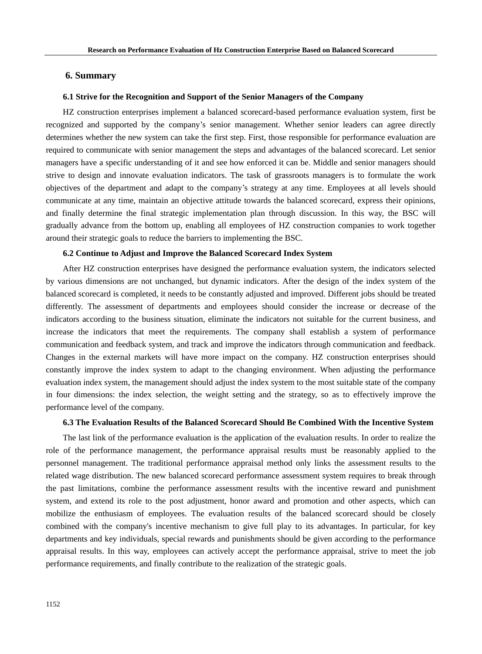# **6. Summary**

# **6.1 Strive for the Recognition and Support of the Senior Managers of the Company**

HZ construction enterprises implement a balanced scorecard-based performance evaluation system, first be recognized and supported by the company's senior management. Whether senior leaders can agree directly determines whether the new system can take the first step. First, those responsible for performance evaluation are required to communicate with senior management the steps and advantages of the balanced scorecard. Let senior managers have a specific understanding of it and see how enforced it can be. Middle and senior managers should strive to design and innovate evaluation indicators. The task of grassroots managers is to formulate the work objectives of the department and adapt to the company's strategy at any time. Employees at all levels should communicate at any time, maintain an objective attitude towards the balanced scorecard, express their opinions, and finally determine the final strategic implementation plan through discussion. In this way, the BSC will gradually advance from the bottom up, enabling all employees of HZ construction companies to work together around their strategic goals to reduce the barriers to implementing the BSC.

# **6.2 Continue to Adjust and Improve the Balanced Scorecard Index System**

After HZ construction enterprises have designed the performance evaluation system, the indicators selected by various dimensions are not unchanged, but dynamic indicators. After the design of the index system of the balanced scorecard is completed, it needs to be constantly adjusted and improved. Different jobs should be treated differently. The assessment of departments and employees should consider the increase or decrease of the indicators according to the business situation, eliminate the indicators not suitable for the current business, and increase the indicators that meet the requirements. The company shall establish a system of performance communication and feedback system, and track and improve the indicators through communication and feedback. Changes in the external markets will have more impact on the company. HZ construction enterprises should constantly improve the index system to adapt to the changing environment. When adjusting the performance evaluation index system, the management should adjust the index system to the most suitable state of the company in four dimensions: the index selection, the weight setting and the strategy, so as to effectively improve the performance level of the company.

# **6.3 The Evaluation Results of the Balanced Scorecard Should Be Combined With the Incentive System**

The last link of the performance evaluation is the application of the evaluation results. In order to realize the role of the performance management, the performance appraisal results must be reasonably applied to the personnel management. The traditional performance appraisal method only links the assessment results to the related wage distribution. The new balanced scorecard performance assessment system requires to break through the past limitations, combine the performance assessment results with the incentive reward and punishment system, and extend its role to the post adjustment, honor award and promotion and other aspects, which can mobilize the enthusiasm of employees. The evaluation results of the balanced scorecard should be closely combined with the company's incentive mechanism to give full play to its advantages. In particular, for key departments and key individuals, special rewards and punishments should be given according to the performance appraisal results. In this way, employees can actively accept the performance appraisal, strive to meet the job performance requirements, and finally contribute to the realization of the strategic goals.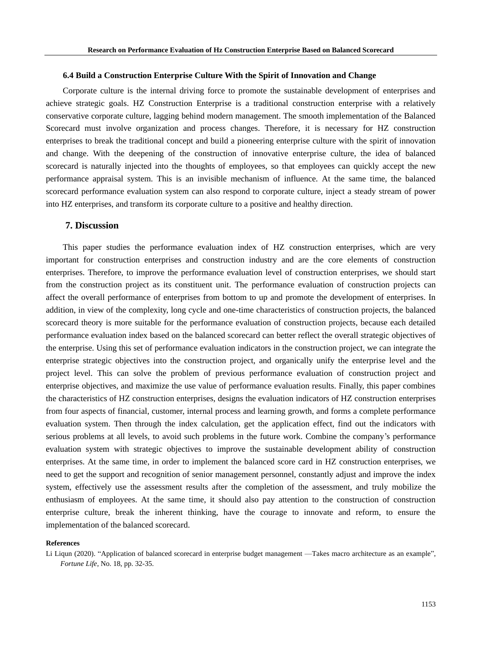### **6.4 Build a Construction Enterprise Culture With the Spirit of Innovation and Change**

Corporate culture is the internal driving force to promote the sustainable development of enterprises and achieve strategic goals. HZ Construction Enterprise is a traditional construction enterprise with a relatively conservative corporate culture, lagging behind modern management. The smooth implementation of the Balanced Scorecard must involve organization and process changes. Therefore, it is necessary for HZ construction enterprises to break the traditional concept and build a pioneering enterprise culture with the spirit of innovation and change. With the deepening of the construction of innovative enterprise culture, the idea of balanced scorecard is naturally injected into the thoughts of employees, so that employees can quickly accept the new performance appraisal system. This is an invisible mechanism of influence. At the same time, the balanced scorecard performance evaluation system can also respond to corporate culture, inject a steady stream of power into HZ enterprises, and transform its corporate culture to a positive and healthy direction.

# **7. Discussion**

This paper studies the performance evaluation index of HZ construction enterprises, which are very important for construction enterprises and construction industry and are the core elements of construction enterprises. Therefore, to improve the performance evaluation level of construction enterprises, we should start from the construction project as its constituent unit. The performance evaluation of construction projects can affect the overall performance of enterprises from bottom to up and promote the development of enterprises. In addition, in view of the complexity, long cycle and one-time characteristics of construction projects, the balanced scorecard theory is more suitable for the performance evaluation of construction projects, because each detailed performance evaluation index based on the balanced scorecard can better reflect the overall strategic objectives of the enterprise. Using this set of performance evaluation indicators in the construction project, we can integrate the enterprise strategic objectives into the construction project, and organically unify the enterprise level and the project level. This can solve the problem of previous performance evaluation of construction project and enterprise objectives, and maximize the use value of performance evaluation results. Finally, this paper combines the characteristics of HZ construction enterprises, designs the evaluation indicators of HZ construction enterprises from four aspects of financial, customer, internal process and learning growth, and forms a complete performance evaluation system. Then through the index calculation, get the application effect, find out the indicators with serious problems at all levels, to avoid such problems in the future work. Combine the company's performance evaluation system with strategic objectives to improve the sustainable development ability of construction enterprises. At the same time, in order to implement the balanced score card in HZ construction enterprises, we need to get the support and recognition of senior management personnel, constantly adjust and improve the index system, effectively use the assessment results after the completion of the assessment, and truly mobilize the enthusiasm of employees. At the same time, it should also pay attention to the construction of construction enterprise culture, break the inherent thinking, have the courage to innovate and reform, to ensure the implementation of the balanced scorecard.

### **References**

Li Liqun (2020). "Application of balanced scorecard in enterprise budget management —Takes macro architecture as an example", *Fortune Life*, No. 18, pp. 32-35.